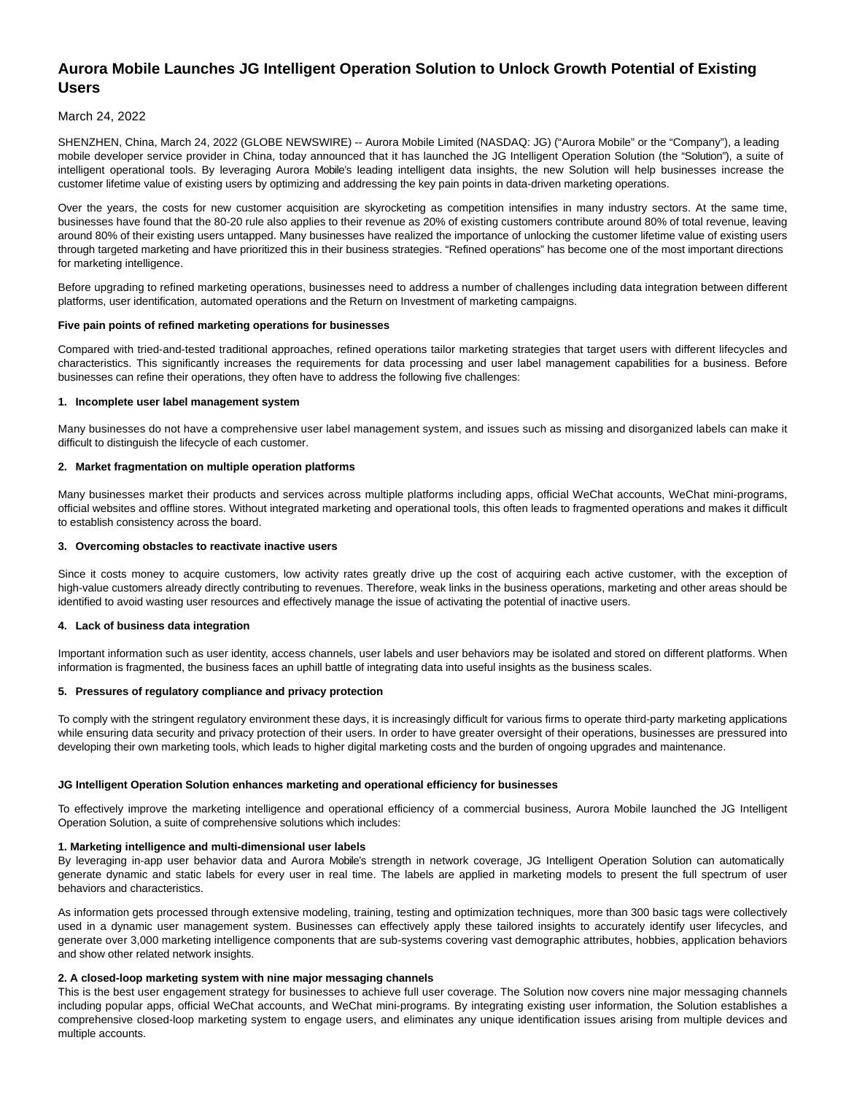# **Aurora Mobile Launches JG Intelligent Operation Solution to Unlock Growth Potential of Existing Users**

# March 24, 2022

SHENZHEN, China, March 24, 2022 (GLOBE NEWSWIRE) -- Aurora Mobile Limited (NASDAQ: JG) ("Aurora Mobile" or the "Company"), a leading mobile developer service provider in China, today announced that it has launched the JG Intelligent Operation Solution (the "Solution"), a suite of intelligent operational tools. By leveraging Aurora Mobile's leading intelligent data insights, the new Solution will help businesses increase the customer lifetime value of existing users by optimizing and addressing the key pain points in data-driven marketing operations.

Over the years, the costs for new customer acquisition are skyrocketing as competition intensifies in many industry sectors. At the same time, businesses have found that the 80-20 rule also applies to their revenue as 20% of existing customers contribute around 80% of total revenue, leaving around 80% of their existing users untapped. Many businesses have realized the importance of unlocking the customer lifetime value of existing users through targeted marketing and have prioritized this in their business strategies. "Refined operations" has become one of the most important directions for marketing intelligence.

Before upgrading to refined marketing operations, businesses need to address a number of challenges including data integration between different platforms, user identification, automated operations and the Return on Investment of marketing campaigns.

#### **Five pain points of refined marketing operations for businesses**

Compared with tried-and-tested traditional approaches, refined operations tailor marketing strategies that target users with different lifecycles and characteristics. This significantly increases the requirements for data processing and user label management capabilities for a business. Before businesses can refine their operations, they often have to address the following five challenges:

#### **1. Incomplete user label management system**

Many businesses do not have a comprehensive user label management system, and issues such as missing and disorganized labels can make it difficult to distinguish the lifecycle of each customer.

## **2. Market fragmentation on multiple operation platforms**

Many businesses market their products and services across multiple platforms including apps, official WeChat accounts, WeChat mini-programs, official websites and offline stores. Without integrated marketing and operational tools, this often leads to fragmented operations and makes it difficult to establish consistency across the board.

#### **3. Overcoming obstacles to reactivate inactive users**

Since it costs money to acquire customers, low activity rates greatly drive up the cost of acquiring each active customer, with the exception of high-value customers already directly contributing to revenues. Therefore, weak links in the business operations, marketing and other areas should be identified to avoid wasting user resources and effectively manage the issue of activating the potential of inactive users.

#### **4. Lack of business data integration**

Important information such as user identity, access channels, user labels and user behaviors may be isolated and stored on different platforms. When information is fragmented, the business faces an uphill battle of integrating data into useful insights as the business scales.

#### **5. Pressures of regulatory compliance and privacy protection**

To comply with the stringent regulatory environment these days, it is increasingly difficult for various firms to operate third-party marketing applications while ensuring data security and privacy protection of their users. In order to have greater oversight of their operations, businesses are pressured into developing their own marketing tools, which leads to higher digital marketing costs and the burden of ongoing upgrades and maintenance.

#### **JG Intelligent Operation Solution enhances marketing and operational efficiency for businesses**

To effectively improve the marketing intelligence and operational efficiency of a commercial business, Aurora Mobile launched the JG Intelligent Operation Solution, a suite of comprehensive solutions which includes:

#### **1. Marketing intelligence and multi-dimensional user labels**

By leveraging in-app user behavior data and Aurora Mobile's strength in network coverage, JG Intelligent Operation Solution can automatically generate dynamic and static labels for every user in real time. The labels are applied in marketing models to present the full spectrum of user behaviors and characteristics.

As information gets processed through extensive modeling, training, testing and optimization techniques, more than 300 basic tags were collectively used in a dynamic user management system. Businesses can effectively apply these tailored insights to accurately identify user lifecycles, and generate over 3,000 marketing intelligence components that are sub-systems covering vast demographic attributes, hobbies, application behaviors and show other related network insights.

# **2. A closed-loop marketing system with nine major messaging channels**

This is the best user engagement strategy for businesses to achieve full user coverage. The Solution now covers nine major messaging channels including popular apps, official WeChat accounts, and WeChat mini-programs. By integrating existing user information, the Solution establishes a comprehensive closed-loop marketing system to engage users, and eliminates any unique identification issues arising from multiple devices and multiple accounts.